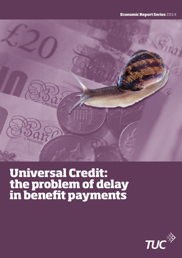

# **Universal Credit: the problem of delay**  in benefit payments

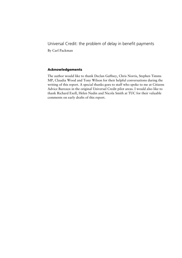Universal Credit: the problem of delay in benefit payments By Carl Packman

**Acknowledgements** 

The author would like to thank Declan Gaffney, Chris Norris, Stephen Timms MP, Claudia Wood and Tony Wilson for their helpful conversations during the writing of this report. A special thanks goes to staff who spoke to me at Citizens Advice Bureaux in the original Universal Credit pilot areas. I would also like to thank Richard Exell, Helen Nadin and Nicola Smith at TUC for their valuable comments on early drafts of this report.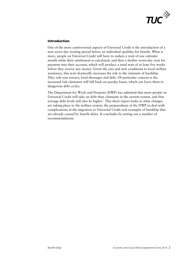

### **Introduction**

One of the more controversial aspects of Universal Credit is the introduction of a new seven-day waiting period before an individual qualifies for benefit. What is more, people on Universal Credit will have to endure a wait of one calendar month while their entitlement is calculated, and then a further seven-day wait for payment into their account, which will produce a total wait of at least five weeks before they receive any money. Given the cuts and new conditions to local welfare assistance, this wait drastically increases the risk to the claimant of hardship. They risk rent arrears, food shortages and debt. Of particular concern is the increased risk claimants will fall back on payday loans, which can leave them in dangerous debt cycles.

The Department for Work and Pensions (DWP) has admitted that more people on Universal Credit will take on debt than claimants in the current system, and that average debt levels will also be higher.<sup>1</sup> This short report looks at what changes are taking place to the welfare system, the preparedness of the DWP to deal with complications in the migration to Universal Credit and examples of hardship that are already caused by benefit delay. It concludes by setting out a number of recommendations.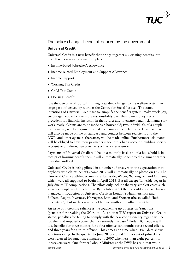

# The policy changes being introduced by the government

#### **Universal Credit**

Universal Credit is a new benefit that brings together six existing benefits into one. It will eventually come to replace:

- Income-based Jobseeker's Allowance
- Income-related Employment and Support Allowance
- Income Support
- Working Tax Credit
- Child Tax Credit
- Housing Benefit.

It is the outcome of radical thinking regarding changes to the welfare system, in large part influenced by work at the Centre for Social Justice.<sup>2</sup> The stated intentions of Universal Credit are to: simplify the benefits system; make work pay; encourage people to take more responsibility over their own money; set a precedent for financial inclusion in the future; and to ensure benefit claimants stay work-ready. Claims are to be made as a household; two individuals of a couple, for example, will be required to make a claim as one. Claims for Universal Credit will also be made online as standard and contact between recipients and the DWP, and other agencies thereafter, will be made online. Furthermore, claimants will be obliged to have their payments made into a bank account, building society account or an alternative provider such as a credit union.

Payments of Universal Credit will be on a monthly basis and if a household is in receipt of housing benefit then it will automatically be sent to the claimant rather than the landlord.

Universal Credit is being piloted in a number of areas, with the expectation that anybody who claims benefits come 2017 will automatically be placed on UC. The Universal Credit pathfinder areas are Tameside, Wigan, Warrington, and Oldham, which were all supposed to begin in April 2013. But all except Tameside began in July due to IT complications. The pilots only include the very simplest cases such as single people with no children. By October 2013 there should also have been a managed introduction of Universal Credit in London's Hammersmith and Fulham, Rugby, Inverness, Harrogate, Bath, and Shotton (the so-called "hub jobcentres"), but in the event only Hammersmith and Fulham went live.

An issue of increasing salience is the toughening up of rules on 'sanctions' (penalties for breaking the UC rules). As another TUC report on Universal Credit stated, penalties for failing to comply with the new conditionality regime will be tougher and imposed sooner than is currently the case.<sup>3</sup> Under UC, people will lose benefits for three months for a first offence, six months for a second offence and three years for a third offence. This comes at a time when DWP data shows sanctions rising. In the quarter to June 2013 around 12 per cent of jobseekers were referred for sanction, compared to 2007 when less than eight per cent of jobseekers were. One former Labour Minister at the DWP has said that while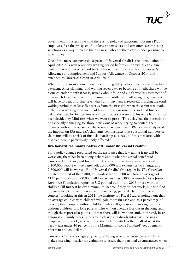

government ministers have said there is no policy of sanctions, Jobcentre Plus employees fear the prospect of job losses themselves and can often see imposing sanctions as a way to please their bosses – who are themselves under pressure to save money.<sup>4</sup>

One of the more controversial aspects of Universal Credit is the introduction in April 2015 of a new seven-day waiting period before an individual can claim benefit that will never be paid back. This will be introduced for Jobseekeer's Allowance and Employment and Support Allowance in October 2014 and extended to Universal Credit in April 2015.

What is more, most claimants will face a long delay before they receive their first payment. After claiming (and waiting seven days to become entitled), there will be a one calendar month (that is, usually about four and a half weeks) assessment of how much Universal Credit the claimant is entitled to. Following this, claimants will have to wait a further seven days until payment is received, bringing the total waiting period to at least five weeks from the first day when the claim was made. If the seven waiting days are in addition to the assessment period and further delay, the wait for first payment will be at least six weeks. (This issue had still not been decided by Ministers when we went to press.) This delay has the potential to be especially damaging for those newly out of work, trying to control their finances without recourse to debt or rental arrears. Even DWP's own analysis of the impacts on JSA and ESA claimants demonstrates that substantial numbers of claimants will be at risk of financial hardship as a result of this measure, with disabled people particularly badly affected.<sup>5</sup>

#### **Are benefit claimants better off under Universal Credit?**

For a policy change predicated on the assurance that few taking it up will be worse off, there has been a long debate about what the actual benefits of Universal Credit are, and for whom. The government has always said that 3,100,000 people will be better off, 2,400,000 will experience no change, and 2,800,000 will be worse off on Universal Credit.<sup>6</sup> One report by *The Guardian* pointed out that of the 2,800,000 hardest hit 800,000 will lose an average of £137 per month and 300,000 will lose as much as £300 per month.<sup>7</sup> As a Joseph Rowntree Foundation report on UC pointed out in July 2013, those without children fall furthest below a minimum income if they do not work, but also find it easiest to get above this standard by working, particularly if they live as couples.<sup>8</sup> Looking at this in 2011, the Institute for Fiscal Studies pointed out that on average couples with children will gain more (in cash and as a percentage of income) than couples without children, who will gain more than single adults without children. It is lone parents who will on average lose out in the long run, though the report also points out that there will be winners and, in the end, losers amongst all family types.<sup>9</sup> One group clearly at a disadvantage will be single people with no work, who will find themselves with less than half of what they need – just under 40 per cent of the Minimum Income Standard<sup>10</sup> requirements after rent and council tax. $11$ 

Universal Credit is a single payment, replacing several separate benefits. This makes assessing it easier for claimants to assess their personal circumstances when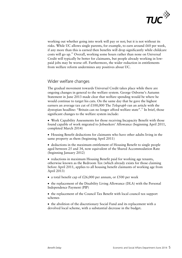

working out whether going into work will pay or not; but it is not without its risks. While UC allows single parents, for example, to earn around  $£60$  per week, if any more than this is earned then benefits will drop significantly while childcare costs will go up.<sup>12</sup> Overall, working some hours rather than none on Universal Credit will typically be better for claimants, but people already working in lowpaid jobs may be worse off. Furthermore, the wider reduction in entitlements from welfare reform undermines any positives about UC.

# Wider welfare changes

The gradual movement towards Universal Credit takes place while there are ongoing changes in general to the welfare system. George Osborne's Autumn Statement in June 2013 made clear that welfare spending would be where he would continue to target his cuts. On the same day that he gave the highest earners an average tax cut of £100,000 The *Telegraph* ran an article with the dystopian headline: "Britain can no longer afford welfare state".13 In brief, those significant changes to the welfare system include:

 Work Capability Assessments for those receiving Incapacity Benefit with those found capable of work migrated to Jobseekers' Allowance (beginning April 2011, completed March 2014)

 Housing Benefit deductions for claimants who have other adults living in the same property as them (beginning April 2011)

 deductions in the maximum entitlement of Housing Benefit to single people aged between 25 and 34, now equivalent of the Shared Accommodation Rate (beginning January 2012)

• reductions in maximum Housing Benefit paid for working age tenants, otherwise known as the Bedroom Tax (which already exists for those claiming before April 2011, applies to all housing benefit claimants of working age from April 2013)

• a total benefit cap of £26,000 per annum, or £500 per week

• the replacement of the Disability Living Allowance (DLA) with the Personal Independence Payment (PIP)

• the replacement of the Council Tax Benefit with local council tax support schemes

• the abolition of the discretionary Social Fund and its replacement with a devolved local scheme, with a substantial decrease in the budget**.**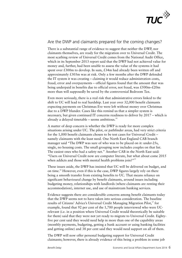

# Are the DWP and claimants prepared for the coming changes?

There is a substantial range of evidence to suggest that neither the DWP, nor claimants themselves, are ready for the migration over to Universal Credit. The most scathing review of Universal Credit comes from the National Audit Office, which in its September 2013 report said that the DWP had not achieved value for money and, further, had been unable to assess the value of the systems it had spent over £300m to develop. In sum, £34m had already been written off and approximately £303m was at risk. Only a few months after the DWP defended the IT system it was creating – claiming it would reduce administration costs, fraud, error and overpayments – official figures found that the amount that was being underpaid in benefits due to official error, not fraud, was £500m–£20m more than will supposedly be saved by the controversial Bedroom Tax.

Even more seriously, there is a real risk that administrative errors linked to the shift to UC will lead to real hardship. Last year over 32,000 benefit claimants expecting payments on Christmas Eve were left without money over Christmas due to a DWP blunder. Cases like this remind us that a simpler system is necessary, but given continued IT concerns readiness to deliver by 2017 – which is already a delayed timetable – seems ambitious. $14$ 

A matter of deep concern is whether the DWP is ready for more complex situations arising under UC. The pilot, or pathfinder areas, had very strict criteria for the 1,000 benefit claimants chosen to be test cases for Universal Credit – namely claimants with the least need. One North East England CAB branch manager said "The DWP was sure of who was to be placed on it: under-25s, single, no housing costs. The small grouping now includes couples on that list. The easiest ones who had a safety net." Another CAB in the North East said: "Users on Universal Credit now are computer literate, but what about come 2015 when addicts and those with mental health problems join?"<sup>15</sup>

These issues aside, the DWP has insisted that UC will be delivered on budget, and on time.16 However, even if this is the case, DWP figures largely rely on there being a smooth transfer from existing benefits to UC. That means reliance on significant behavioural change by benefit claimants, around issues including budgeting money, relationships with landlords (where claimants are renting their accommodation), internet use, and use of mainstream banking services.

Evidence suggests there are considerable concerns among benefit claimants today that the DWP seems not to have taken into serious consideration. The baseline results of Citizens' Advice's Universal Credit Managing Migration Pilot,<sup>17</sup> for example, found that 92 per cent of the 1,700 people interviewed who were UCrelevant (i.e. in a position where Universal Credit would theoretically be suitable for them) said that they were not yet ready to migrate to Universal Credit. Eightyfive per cent said they would need help in more than one of the capability areas (monthly payments, budgeting, getting a bank account or using banking facilities and getting online) and 38 per cent said they would need support on all of them.

The DWP will now offer personal budgeting support for Universal Credit claimants; however, there is already evidence of this being a problem in some job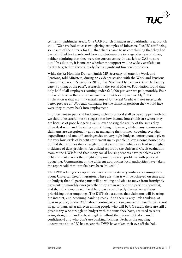

centres in pathfinder areas. One CAB branch manager in a pathfinder area branch said: "We have had at least two glaring examples of Jobcentre Plus/UC staff being so unsure of the criteria for UC that clients came to us complaining that they had been shuffled backwards and forwards between the two agencies several times, neither admitting that they were the correct centre. It was left to CAB to sort out." In addition, it is unclear whether the support will be widely available or tightly targeted on those already facing significant financial problems.

While the Rt Hon Iain Duncan Smith MP, Secretary of State for Work and Pensions, told Ministers, during an evidence session with the Work and Pensions Committee back in September 2012, that "the 'weekly pay packet' at the factory gate is a thing of the past", research by the Social Market Foundation found that only half of all employees earning under £10,000 per year are paid monthly. Four in ten of those in the lowest two income quintiles are paid weekly.<sup>18</sup> The implication is that monthly instalments of Universal Credit will not necessarily better prepare all UC-ready claimants for the financial position they would face were they to move back into employment.

Improvement to personal budgeting is clearly a good skill to be equipped with but we should be careful not to suggest that low-income households are where they are because of poor budgeting skills, overlooking the reality of the sums they often deal with, and the rising cost of living. However, while many low-income claimants are exceptionally good at managing their money, covering everyday expenditure and one-off contingencies on very tight budgets, unfortunately given the very low levels of benefit entitlement many people in low-income households do find that at times they struggle to make ends meet, which can lead to a higher incidence of debt problems. An official report by the Universal Credit evaluation team at the DWP found that many social housing tenants have problems with debt and rent arrears that might compound possible problems with personal budgeting. Commenting on the different approaches local authorities have taken, the report said that "results have been 'mixed'".<sup>19</sup>

The DWP is being very optimistic, as shown by its very ambitious assumptions about Universal Credit migration. These are: that it will be achieved on time and on budget; that all participants will be willing and able to move from fortnightly payments to monthly ones (whether they are in work or on previous benefits); and that all claimants will be able to pay rents directly themselves without prioritising other outgoings. The DWP also assumes that claimants will be using the internet, and becoming banking-ready. And there is very little thinking, at least in public, by the DWP about contingency arrangements if these things do not all go to plan. After all, even among people who will be UC-ready, there are still a great many who struggle to budget with the sums they have, are used to rents going straight to landlords, struggle to afford the internet (let alone use it confidently) and who don't use banking facilities. Perhaps the ongoing uncertainty about UC has meant the DWP have taken their eye off the ball.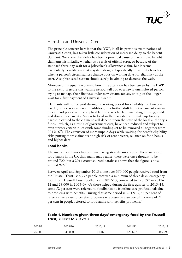

# Hardship and Universal Credit

The principle concern here is that the DWP, in all its previous examinations of Universal Credit, has taken little consideration of increased delay to the benefit claimant. We know that delay has been a principal cause of hardship to benefit claimants historically, whether as a result of official error, or because of the standard three-day wait for a Jobseeker's Allowance claim. But it seems particularly bewildering that a system designed specifically to simplify benefits when a person's circumstances change adds on waiting days for eligibility at the start. A sophisticated system should surely be aiming to decrease the wait.

Moreover, it is equally worrying how little attention has been given by the DWP to the extra pressure this waiting period will add to a newly unemployed person trying to manage their finances under new circumstances, on top of the longer wait for a first payment of Universal Credit.

Claimants will not be paid during the waiting period for eligibility for Universal Credit, not even in arrears. In addition, in a further shift from the current system this unpaid period will be applicable to the whole claim including housing, child and disability elements. Access to local welfare assistance to make up for any hardship caused to the claimant will depend upon the state of the local authority's funds – which, as a result of government cuts, have been reduced and subject to even stricter criteria rules (with some funding set to be removed all together from  $2015/16^{20}$ ). The extension of more unpaid days while waiting for benefit eligibility risks putting more claimants at high risk of rent arrears, reliance on food banks and higher debt.

## **Food banks**

The use of food banks has been increasing steadily since 2005. There are more food banks in the UK than many may realise: there were once thought to be around 700, but a 2014 crowdsourced database shows that the figure is now around  $926^{21}$ 

Between April and September 2013 alone over 350,000 people received food from the Trussell Trust. 346,992 people received a minimum of three days' emergency food from Trussell Trust foodbanks in 2012-13, compared to 128,697 in 2011– 12 and 26,000 in 2008–09. Of those helped during the first quarter of 2013–14, some 52 per cent were referred to foodbanks by frontline care professionals due to problems with benefits. During that same period in 2012/13, 43 per cent of referrals were due to benefits problems – representing an overall increase of 21 per cent in people referred to foodbanks with benefits problems.<sup>22</sup>

## **Table 1. Numbers given three days' emergency food by the Trussell Trust, 2008/9 to 2012/13**

| 2008/9<br>. | 'በበ9/1በ<br>. | 2010/1<br>∵ ن∠ | $701111$ | 7/17<br>201 |
|-------------|--------------|----------------|----------|-------------|
| 26,000      | ,000<br>41   | ,468           | 28,697   | 346,992     |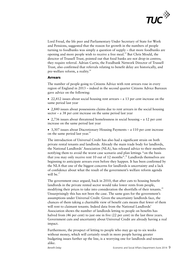

Lord Freud, the life peer and Parliamentary Under Secretary of State for Work and Pensions, suggested that the reason for growth in the numbers of people turning to foodbanks was simply a question of supply – that more foodbanks are opening and more people wish to receive a free meal.<sup>23</sup> But Chris Mould, the director of Trussell Trust, pointed out that food banks are not drop-in centres; they require referral. Adrian Curtis, the Foodbank Network Director of Trussell Trust, also confirmed that referrals relating to benefit delay are historically, and pre-welfare reform, a reality.<sup>24</sup>

#### **Arrears**

The number of people going to Citizens Advice with rent arrears rose in every region of England in 2013 – indeed in the second quarter Citizens Advice Bureaux gave advice on the following:

 22,412 issues about social housing rent arrears – a 13 per cent increase on the same period last year

 2,840 issues about possessions claims due to rent arrears in the social housing sector – a 38 per cent increase on the same period last year

 2,736 issues about threatened homelessness in social housing – a 12 per cent increase on the same period last year

 3,307 issues about Discretionary Housing Payments – a 110 per cent increase on the same period last year.<sup>25</sup>

The introduction of Universal Credit has also had a significant strain on both private rental tenants and landlords. Already the main trade body for landlords, the National Landlords' Association (NLA), has released advice to their members notifying them to avoid the worst case scenario and plan lettings "on the basis that you may only receive rent 10 out of 12 months".<sup>26</sup> Landlords themselves are beginning to anticipate arrears even before they happen. It has been confirmed by the NLA that one of the biggest concerns for landlords is uncertainty and a lack of confidence about what the result of the government's welfare reform agenda will be. $27$ 

The government once argued, back in 2010, that after cuts to housing benefit landlords in the private rented sector would take lower rents from people, modifying their prices to take into consideration the shortfalls of their tenants.<sup>28</sup> Unsurprisingly this has not been the case. The same goes for the government's assumptions under Universal Credit. Given the uncertainty landlords face, the chances of them taking a charitable view of benefit cuts means that fewer of them will rent to claimant tenants. Indeed data from the National Landlords' Association shows the number of landlords letting to people on benefits has halved from (46 per cent) to just one in five (22 per cent) in the last three years. Government cuts and uncertainty about Universal Credit are already having a real impact.

Furthermore, the prospect of letting to people who may go up to six weeks without money, which will certainly result in more people having greater budgeting issues further up the line, is a worrying one for landlords and tenants alike.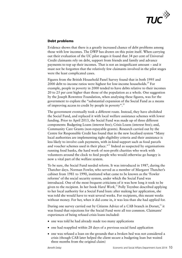

## **Debt problems**

Evidence shows that there is a greatly increased chance of debt problems among those with low incomes. The DWP has drawn on this point itself. When carrying out their evaluation of the UC pilot stages it found that 34 per cent of Universal Credit claimants rely on debt, support from friends and family and advance payments to top up their incomes. That is not an insignificant amount – and it must not be forgotten that the relatively few claimants involved in the pilot stages were the least complicated cases.

Figures from the British Household Panel Survey found that in both 1995 and 2000 debt to income ratios were highest for low-income households.<sup>29</sup> For example, people in poverty in 2000 tended to have debts relative to their incomes 20 to 25 per cent higher than those of the population as a whole. One suggestion by the Joseph Rowntree Foundation, when analysing these figures, was for the government to explore the "substantial expansion of the Social Fund as a means of improving access to credit by people in poverty".<sup>30</sup>

The government eventually took a different route. Instead, they have abolished the Social Fund, and replaced it with local welfare assistance schemes with lower funding. Prior to April 2013, the Social Fund was made up of three different components: Budgeting Loans (interest free); Crisis Loans (interest free); and, Community Care Grants (non-repayable grants). Research carried out by the Centre for Responsible Credit has found that in the new localised system "Many local authorities are implementing tight eligibility criteria and their assistance is less likely to involve cash payments, with in-kind support such as food parcels and voucher schemes used in their place."<sup>31</sup> Indeed as suspected by organisations running food banks, the hard work of non-profit charities who work with volunteers around the clock to feed people who would otherwise go hungry is now a vital part of the welfare system.

To be sure, the Social Fund needed reform. It was introduced in 1987, during the Thatcher days. Norman Fowler, who served as a member of Margaret Thatcher's cabinet from 1981 to 1990, instituted what came to be known as the 'Fowler reforms' of the social security system, under which the Social Fund was introduced. One of the most frequent criticisms of it was how long it took to be given to the recipient. In her book *Hard Work,*<sup>32</sup> Polly Toynbee described applying to her local authority for a Social Fund loan: after making her application, she was told she would have to wait several weeks. For recipients, this meant weeks without money. For her, when it did come in, it was less than she had applied for.

During one survey carried out by Citizens Advice of a CAB branch in Dorset.<sup>33</sup> it was found that rejections for the Social Fund were all too common. Claimants' experiences of being refused crisis loans included:

- one was told he had already made too many applications
- one had reapplied within 28 days of a previous social fund application
- one was refused a loan on the grounds that a broken bed was not considered a crisis (though CAB later helped the client secure a budgeting loan but waited three months from the original claim)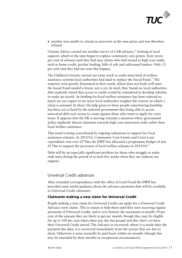

• another was unable to attend an interview at the time given and was therefore refused.

Citizens Advice carried out another survey of CAB advisers,<sup>34</sup> looking at local support, which at the time began to replace community care grants. Sixty-seven per cent of advisers said they had seen clients who had turned to high cost credit, such as home credit, payday lending, bills of sale and unlicensed lenders. Only 13 per cent said they had not seen this happen.

The Children's Society carried out some work to audit what kind of welfare assistance systems local authorities had used to replace the Social Fund.<sup>35</sup> The majority were greatly downsized in their reach, which does not bode well since the Social Fund needed a boost, not a cut. In total, they found six local authorities that explicitly stated that access to credit would be considered in deciding whether to make an award. As funding for local welfare assistance has been reduced so much we can expect to see more local authorities toughen the criteria on which a claim is assessed. In short, the help given to those people experiencing hardship has been cut so hard by the national government that being able to access unsecured debt now seems to count against those who want to apply for crisis loans. It appears that the UK is moving towards a situation where government policy implicitly directs claimants towards high cost unsecured credit rather than local welfare assistance.

This trend is being exacerbated by ongoing reductions in support for local assistance schemes. In 2011/12, Community Care Grants and Crisis Loan expenditure was over  $£270m$ ; the DWP has allocated a programme budget of just £178m to support the provision of local welfare schemes in 2013/14.<sup>36</sup>

Debt will be an especially significant problem for those who struggle to make ends meet during the period of at least five weeks when they are without any support.

# Universal Credit advances

After extended correspondence with the office of Lord Freud the DWP has provided some useful guidance about the advance payments that will be available to Universal Credit claimants.

#### **Claimants making a new claim for Universal Credit**

People making a new claim for Universal Credit can apply for a Universal Credit Advance (new claim). This is meant to help them until they start receiving regular payments of Universal Credit, and is very limited: the maximum is usually 50 per cent of the amount they are likely to get per month, though they may be eligible for up to 100 per cent where their pay day has passed and they don't yet have their Universal Credit award. The Advance is recovered: where it is made after the payment due date, it is recovered immediately from the arrears that are due to them. Otherwise it must normally be paid back within six months (though this may be extended by three months in exceptional circumstances).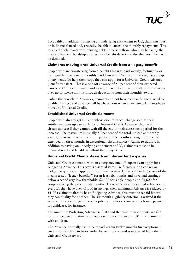

To qualify, in addition to having an underlying entitlement to UC, claimants must be in financial need and, crucially, be able to afford the monthly repayments. This means that claimants with existing debts (precisely those who may be facing the greatest financial hardship as a result of benefit delay) are also the most likely to be declined.

#### **Claimants moving onto Universal Credit from a 'legacy benefit'**

People who are transferring from a benefit that was paid weekly, fortnightly or four weekly in arrears to monthly paid Universal Credit can find they face a gap in payments. To help them cope they can apply for a Universal Credit Advance (benefit transfer). This is a one off advance of 50 per cent of their expected Universal Credit entitlement and again, it has to be repaid, usually in instalments over up to twelve months through deductions from their monthly award.

Unlike the new claim Advances, claimants do not have to be in financial need to qualify. This type of advance will be phased out when all existing claimants have moved to Universal Credit.

## **Established Universal Credit claimants**

People who already get UC and whose circumstances change so that their entitlement goes up can apply for a Universal Credit Advance (change of circumstances) if they cannot wait till the end of their assessment period for the increase. The maximum is usually 50 per cent of the total indicative monthly award, recovered over a maximum period of six months (though this may be extended by three months in exceptional circumstances). Again, to qualify, in addition to having an underlying entitlement to UC, claimants must be in financial need and be able to afford the repayments.

#### **Universal Credit Claimants with an intermittent expense**

Universal Credit claimants with an emergency one-off expense can apply for a Budgeting Advance. This covers essential items like furniture or a cooker or fridge. To qualify, an applicant must have received Universal Credit (or one of the means-tested "legacy benefits") for at least six months and have had earnings below a set of very low thresholds:  $\text{\pounds}2,600$  for single people and  $\text{\pounds}3,600$  for couples during the previous six months. There are very strict capital rules too: for every £1 they have over £1,000 in savings, their maximum Advance is reduced by  $£1.$  If a claimant already has a Budgeting Advance, this must be repaid before they can qualify for another. The six month eligibility criterion is waived if the advance is needed to get or keep a job: to buy tools or make an advance payment for childcare, for instance.

The minimum Budgeting Advance is £100 and the maximum amounts are £348 for a single person,  $\text{\pounds}464$  for a couple without children and  $\text{\pounds}812$  for claimants with children.

The Advance normally has to be repaid within twelve months (in exceptional circumstances this can be extended by six months) and is recovered from their Universal Credit award.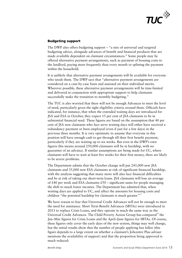

## **Budgeting support**

The DWP also offers budgeting support – "a mix of universal and targeted budgeting advice, alongside advances of benefit and financial products that are made available dependent on claimant circumstances." Some people may be offered alternative payment arrangements, such as payment of housing costs to the landlord, paying more frequently than every month or splitting the payment within the household.

It is unlikely that alternative payment arrangements will be available for everyone who needs them. The DWP says that "alternative payment arrangements are considered on a case-by-case basis and assessed on their individual merits. Wherever possible, these alternative payment arrangements will be time-limited and delivered in conjunction with appropriate support to help claimants successfully make the transition to monthly budgeting."

The TUC is also worried that there will not be enough Advances to meet the level of need, particularly given the tight eligibility criteria around them. Officials have indicated, for instance, that when the extended waiting days are introduced for JSA and ESA in October, they expect 15 per cent of JSA claimants to be in substantial financial need. These figures are based on the assumption that 40 per cent of JSA new claimants who face serve waiting days will either have received a redundancy payment or been employed (even if just for a few days) in the previous three months. It is very optimistic to assume that everyone in this position will have enough cash to get through till their first benefit payment, particularly if they are waiting up to six weeks. But even in the DWP's own figures this means around 250,000 claimants will be in hardship, with no guarantee of an advance. If similar assumptions are being made for UC, where claimants will have to wait at least five weeks for their first money, there are likely to be severe problems.

The Department admits that the October change will put 245,000 new JSA claimants and 35,000 new ESA claimants at risk of significant financial hardship, with the analysis suggesting that many more will also face financial difficulties and be at risk of taking out short-term loans. JSA claimants will lose an average of £40 per week and ESA claimants  $£50 -$  significant sums for people managing the shift to much lower incomes. The Department has admitted that, when waiting days are applied to UC, and affect the amounts for housing costs and children "the potential hardship for claimants is much greater."<sup>37</sup>

We have reason to fear that Universal Credit Advances will not be enough to meet the need for assistance. Short Term Benefit Advances (SBTAs) were introduced in 2013 to replace Crisis Loans, and they operate in much the same way as the Universal Credit Advances. The Child Poverty Action Group has compared<sup>38</sup> the Jan–Mar figures for Crisis Loans and the April–June figures for SBTAs. Of course, these figures only cover the early days of the new system, things may well change, but the initial results show that the number of people applying has fallen (this figure depends to a large extent on whether a claimant's Jobcentre Plus adviser mentions the availability of support) and that the proportion being approved is much reduced: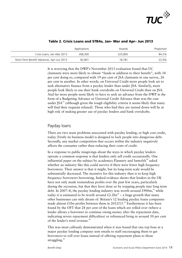

|                                           | Applications | Awards  | Proportion |
|-------------------------------------------|--------------|---------|------------|
| Crisis Loans, Jan-Mar 2013                | 268,300      | 225,800 | 84.2%      |
| Short-Term Benefit Advances, Apr-Jun 2013 | 82.801       | 18.781  | 22.6%      |

#### **Table 2. Crisis Loans and STBAs, Jan– Mar and Apr– Jun 2013**

It is worrying that the DWP's November 2013 evaluation found that UC claimants were more likely to obtain "funds in addition to their benefit", with 34 per cent doing so, compared with 19 per cent of JSA claimants in one survey, 26 per cent in another. In other words, on Universal Credit more people look set to seek alternative finance from a payday lender than under JSA. Similarly, more people look likely to use their bank overdrafts on Universal Credit than on JSA. And far more people seem likely to have to seek an advance from the DWP in the form of a Budgeting Advance or Universal Credit Advance than was the case under JSA<sup>39</sup> (although given the tough eligibility criteria it seems likely that many will find their requests refused). Those who find they are turned down will be at high risk of making greater use of payday lenders and bank overdrafts.

# Payday loans

There are two main problems associated with payday lending, or high cost credit, today. Firstly its business model is designed to lock people into dangerous debt. Secondly, any market competition that occurs within the industry negatively affects the consumer rather than reducing their costs of credit.

In a response to public misgivings about the ways in which payday lenders operate a common response is that lenders only sell credit occasionally. One influential paper on the subject by academics Flannery and Samolyk<sup> $40$ </sup> asked whether an industry like this could survive if there were fewer high frequency borrowers. Their answer is that it might, but its long-term scale would be substantially decreased. The incentive for this industry then is to keep high frequency borrowers borrowing. Indeed evidence shows that lenders in the UK have not only made tremendous profits over the past few years, particularly during the recession, but that they have done so by trapping people into long term debt. In 2007–8, the payday lending industry was worth around  $\text{\pounds}900m$ <sup>41</sup> while today it is estimated to be worth around  $\text{\pounds}2.2\text{bn}^{42}$  – a huge growth that many other businesses can only dream of. Britain's 12 leading payday loans companies made almost £1bn profits between them in  $2012/13$ .<sup>43</sup> Furthermore it has been found by the OFT that 28 per cent of the loans which are rolled over (where a lender allows a borrower to continue owing money after the repayment date, indicating severe repayment difficulties) or refinanced bring in around 50 per cent of the lender's total revenue.<sup>44</sup>

This was most callously demonstrated when it was found that one top boss at a major payday lending company sent emails to staff encouraging them to get borrowers to roll over loans instead of offering repayment plans to those struggling.<sup>45</sup>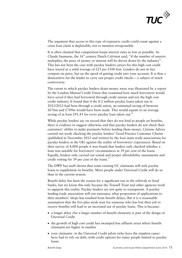

The argument that access to this type of expensive credit could count against a crisis loan claim is deplorable, not to mention irresponsible.

It is often claimed that competition keeps interest rates as low as possible. As Claude Saumaise, the  $16<sup>th</sup>$  century Dutch Calvinist said, "if the number of usurers multiplies, the price of money or interest will be driven down by the industry". This has not been the case with payday lenders: prices for this high cost credit have stayed at a solid average of £25 per £100 lent. Lenders do not in fact compete on price, but on the speed of getting credit into your account. It is thus a disincentive for the lender to carry out proper credit checks – a subject of much controversy.

The extent to which payday lenders drain money away was illustrated by a report by the London Mutual Credit Union that examined how much borrowers would have saved if they had borrowed through credit unions and not the high cost credit industry. It found that if the 8.2 million payday loans taken out in 2011/2012 had been through a credit union, an estimated saving of between  $£676m$  and  $£749m$  would have been made. This would equate to an average saving of at least £91.43 for every payday loan taken out.<sup>46</sup>

While payday lenders say on record that they do not lend to people on benefits, there is evidence to suggest otherwise and that payday lenders do not check their customers' ability to make payments before lending them money. Citizens Advice carried out work checking the payday lenders' Good Practice Customer Charter (published in November 2012 and written by the four main trade associations for payday lenders in the UK) against the reality of borrowers' experiences. Based on their survey of 4,000 people it was found that lenders only checked whether a loan was suitable for borrowers' circumstances in 39 per cent of the loans. Equally, lenders only carried out sound and proper affordability assessments and credit vetting for 39 per cent of the loans. $47$ 

The DWP has itself shown that some existing UC claimants will seek payday loans to supplement its benefits. More people under Universal Credit will do so than in the current system.

Benefit delay has been the reason for a significant rise in the referrals to food banks, but we know this only because the Trussell Trust and other agencies work to signpost this reality. Payday lenders are not quite so transparent. A payday lending trade association will not announce what proportion of applications to their members' shops has resulted from benefit delays. But it is a reasonable assumption that the five-plus week wait for someone who has lost their job to receive benefits will lead to an increased use of payday loans. This is because:

- a longer delay (for a larger number of benefit elements) is part of the design of Universal Credit
- the growth of high cost credit has swamped less affluent areas where benefit claimants are higher in number
- even claimants in the Universal Credit pilots (who have the simplest cases) have had to rely on debt, with credit options for many people limited to payday loans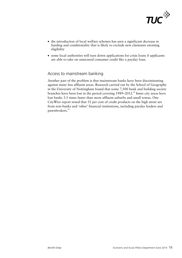

- the introduction of local welfare schemes has seen a significant decrease in funding and conditionality that is likely to exclude new claimants awaiting eligibility
- some local authorities will turn down applications for crisis loans if applicants are able to take on unsecured consumer credit like a payday loan.

# Access to mainstream banking

Another part of the problem is that mainstream banks have been discriminating against many less affluent areas. Research carried out by the School of Geography in the University of Nottingham found that some 7,500 bank and building society branches have been lost in the period covering 1989–2012.48 Inner city areas have lost banks 3.5 times faster than more affluent suburbs and small towns. One CityWire report noted that 52 per cent of credit products on the high street are from non-banks and 'other' financial institutions, including payday lenders and pawnbrokers.<sup>49</sup>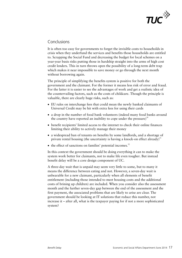

# Conclusions

It is often too easy for governments to forget the invisible costs to households in crisis when they underfund the services and benefits those households are entitled to. Scrapping the Social Fund and decreasing the budget for local schemes on a year-year basis risks putting those in hardship straight into the arms of high cost credit lenders. This in turn throws open the possibility of a long-term debt trap which makes it near impossible to save money or go through the next month without borrowing again.

The principle of simplifying the benefits system is positive for both the government and the claimant. For the former it means less risk of error and fraud. For the latter it is easier to see the advantages of work and get a realistic idea of the countervailing factors, such as the costs of childcare. Though the principle is valuable, there are clearly huge risks, such as:

- EU rules on interchange fees that could mean the newly banked claimants of Universal Credit may be hit with extra fees for using their cards
- a drop in the number of food bank volunteers (indeed many food banks around the country have reported an inability to cope under the pressure) $50$
- benefit recipients' limited access to the internet to check their online finances limiting their ability to actively manage their money
- a widespread ban of tenants on benefits by some landlords, and a shortage of private rental housing (the uncertainty is having a knock-on effect already) $^{51}$
- $\bullet$  the effect of sanctions on families' potential incomes.<sup>52</sup>

In this context the government should be doing everything it can to make the system work better for claimants, not to make life even tougher. But instead benefit delay will be a core design component of UC.

A three-day wait that is unpaid may seem very little to some, but to many it means the difference between eating and not. However, a seven-day wait is unbearable for a new claimant, particularly when all elements of benefit entitlement (including those intended to meet housing costs and the additional costs of brining up children) are included. When you consider also the assessment month and the further seven-day gap between the end of the assessment and the first payment, the associated problems that are likely to arise are clear. The government should be looking at IT solutions that reduce this number, not increase it – after all, what is the taxpayer paying for if not a more sophisticated system?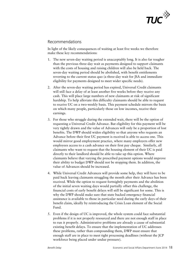

# Recommendations

In light of the likely consequences of waiting at least five weeks we therefore make these key recommendations:

- 1. The new seven-day waiting period is unacceptably long. It is also far tougher than the previous three-day wait as payments designed to support claimants with the costs of housing and raising children will also be held back. The seven-day waiting period should be abolished, with benefit entitlements reverting to the current status quo (a three-day wait for JSA and immediate eligibility for payments designed to meet wider specific needs).
- 2. After the seven-day waiting period has expired, Universal Credit claimants will still face a delay of at least another five weeks before they receive any cash. This will place large numbers of new claimants at risk of significant hardship. To help alleviate this difficulty claimants should be able to request to receive UC on a two-weekly basis. This payment schedule mirrors the basis on which many people, particularly those on low incomes, receive their earnings.
- 3. For those who struggle during the extended wait, there will be the option of requesting a Universal Credit Advance. But eligibility for this payment will be very tightly drawn and the value of Advances will only be a proportion of lost benefits. The DWP should widen eligibility so that anyone who requests an Advance before their first UC payment is received is able to access one. This would mirror good employment practice, where many employers offer new employees access to a cash advance on their first pay cheque. Similarly, all claimants who want to request that the housing element of their UC is paid directly to their landlord should be able to take up this option. Where claimants believe that varying the prescribed payment options would improve their ability to budget DWP should not be stopping them. In addition, the value of Advances should be increased.
- 4. While Universal Credit Advances will provide some help, they will have to be paid back leaving claimants struggling the month after their Advance has been received. While the option to request fortnightly payments and the abolition of the initial seven waiting days would partially offset this challenge, the financial costs of early benefit delays will still be significant for some. This is why the DWP should make sure that state backed emergency financial assistance is available to those in particular need during the early days of their benefit claim, ideally by reintroducing the Crisis Loan element of the Social Fund.
- 5. Even if the design of UC is improved, the whole system could face substantial problems if it is not properly resourced and there are not enough staff in place to run it properly. Administrative problems are already a cause of substantial existing benefit delays. To ensure that the implementation of UC addresses these problems, rather than compounding them, DWP must ensure that enough staff are in place to meet tight processing deadlines (without the JCP workforce being placed under undue pressure).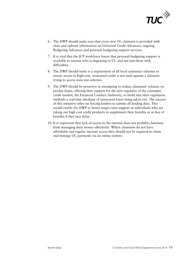

- 6. The DWP should make sure that every new UC claimant is provided with clear and upfront information on Universal Credit Advances, ongoing Budgeting Advances and personal budgeting support services.
- 7. It is vital that the JCP workforce know that personal budgeting support is available to anyone who is migrating to UC and not just those with difficulties.
- 8. The DWP should make it a requirement of all local assistance schemes to ensure access to high-cost, unsecured credit is not used against a claimant trying to access state run schemes.
- 9. The DWP should be proactive in attempting to reduce claimants' reliance on payday loans, offering their support for the new regulator of the consumer credit market, the Financial Conduct Authority, to build into their regulation methods a real-time database of unsecured loans being taken out. The success of this initiative relies on forcing lenders to submit all lending data. This would enable the DWP to better target extra support at individuals who are taking out high cost credit products to supplement their benefits or in lieu of benefits if they face delay.
- 10. It is important that lack of access to the internet does not prohibit claimants from managing their money effectively. Where claimants do not have affordable and regular internet access they should not be required to claim and manage UC payments via an online system.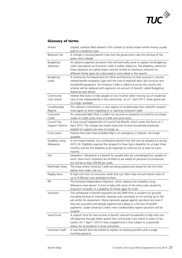

# **Glossary of terms**

| Arrears                        | Unpaid, overdue debt related in this context to rental arrears where money usually<br>paid to a landlord is late.                                                                                                                                                                                                                                                                                                                 |
|--------------------------------|-----------------------------------------------------------------------------------------------------------------------------------------------------------------------------------------------------------------------------------------------------------------------------------------------------------------------------------------------------------------------------------------------------------------------------------|
| Bedroom Tax                    | A change in housing benefit rules that the government calls the removal of the<br>spare room subsidy                                                                                                                                                                                                                                                                                                                              |
| <b>Budgeting</b><br>Advances   | An advance payment provision that will eventually come to replace the Budgeting<br>Loans (see below) as Universal Credit is widely rolled out. The eligibility criteria for<br>these advances are tightly drawn and are limited to maximum amounts for<br>different family types (as is discussed in more detail in this report).                                                                                                 |
| Budgeting<br>Loans             | A scheme by the Department for Work and Pensions to help long-term, income-<br>related benefit recipients cope with the cost of essential items like furniture and<br>household equipment. As Universal Credit is rolled out across the country this<br>scheme will be replaced with payments on account of benefit, called Budgeting<br>Advances (see above).                                                                    |
| Community<br>Care Grants       | Interest-free loans to help people on low incomes when moving out of residential<br>care to live independently in the community. As of 1 April 2013, these grants are<br>no longer available.                                                                                                                                                                                                                                     |
| Conditionality<br>Regime       | The claimant commitment, a new regime of conditionality that a benefit recipient<br>must agree to when migrating to or claiming Universal Credit.                                                                                                                                                                                                                                                                                 |
| Consumer<br>Credit             | An unsecured debt (that is a debt not secured on property) incurred for purchases<br>made on credit cards, lines of credit and some loans.                                                                                                                                                                                                                                                                                        |
| Council Tax<br>Support Scheme  | A local council replacement of Council Tax Benefit, which came into force on 1<br>April 2013. The change has meant many low-income households previously<br>eligible for support are now no longer so.                                                                                                                                                                                                                            |
| Crisis Loans                   | Interest-free loans that provided help in an emergency or disaster. No longer<br>available.                                                                                                                                                                                                                                                                                                                                       |
| Disability Living<br>Allowance | A non-means-tested, non-contributory benefit that will now be phased out during<br>2013-16. Eligibility required the recipient to have had a disability for at least three<br>months, and for the disability to be expected to continue for at least six more<br>months.                                                                                                                                                          |
| <b>JSA</b>                     | Jobseeker's Allowance is a benefit for people who are unemployed but capable of<br>work. How much recipients are entitled to are based on personal circumstances<br>but will be at least £56.80 per week.                                                                                                                                                                                                                         |
| Pathfinder Areas               | The areas where Universal Credit are being piloted and tested for the first time<br>before their wider role out.                                                                                                                                                                                                                                                                                                                  |
| Payday loans                   | A high cost form of consumer credit that can often have annual interest rates of<br>up to 4,000 per cent attached to them.                                                                                                                                                                                                                                                                                                        |
| PIP                            | The Personal Independence Payment, which replaces the Disability Living<br>Allowance (see above). It aims to help with some of the extra costs caused by<br>long-term ill-health or a disability for those aged 16 to 64.                                                                                                                                                                                                         |
| Sanctions                      | The withdrawal of benefit payments by the DWP from a recipient on grounds<br>including missing an interview, leaving a job voluntarily or not turning up to the<br>job centre for assessment. Many claimants appeal against sanctions but even if<br>they are successful will already experienced a delay or a full loss of benefit<br>payments. Under Universal Credit's new conditionality regime sanctions will be<br>tougher. |
| Social Fund                    | A support fund for low income or benefit claimant households to help with one<br>off expenses through either grants (the Community Care Grant) or loans (Crisis<br>Loans). On 1 April 1 2013 it was scrapped and is now subject to a postcode<br>lottery for its existence in local authorities.                                                                                                                                  |
| Universal Credit               | A new benefit that has started to replace six existing benefits with a single<br>monthly payment.                                                                                                                                                                                                                                                                                                                                 |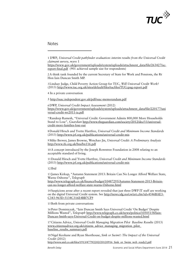

**Notes** 

1 DWP, *Universal Credit pathfinder evaluation: interim results from the Universal Credit claimant survey*, wave 1

https://www.gov.uk/government/uploads/system/uploads/attachment\_data/file/263427/ucreport-final.pdf (901 achieved sample size for respondents)

2A think tank founded by the current Secretary of State for Work and Pensions, the Rt Hon Iain Duncan Smith MP.

3Lindsay Judge, Child Poverty Action Group for TUC, *Will Universal Credit Work?* (2013) http://www.tuc.org.uk/sites/default/files/tucfiles/TUCcpag-report.pdf

4 In a private conversation

5 http://ssac.independent.gov.uk/pdf/ssac-memorandum.pdf

6DWP, *Universal Credit Impact Assessment* (2012) https://www.gov.uk/government/uploads/system/uploads/attachment\_data/file/220177/uni versal-credit-wr2011-ia.pdf

7Randeep Ramesh, "Universal Credit: Government Admits 800,000 More Households Stand to Lose", *Guardian* http://www.theguardian.com/society/2012/dec/11/universalcredit-more-families-lose-out

8Donald Hirsch and Yvette Hartfree, *Universal Credit and Minimum Income Standards* (2013) http://www.jrf.org.uk/publications/universal-credit-mis

9Mike Brewer, James Browne, Wenchao Jin, *Universal Credit: A Preliminary Analysis* http://www.ifs.org.uk/bns/bn116.pdf

10A concept introduced by the Joseph Rowntree Foundation in 2008 relating to an acceptable standard of living.

11Donald Hirsch and Yvette Hartfree, *Universal Credit and Minimum Income Standards* (2013) http://www.jrf.org.uk/publications/universal-credit-mis

12 Ibid

13 James Kirkup, "Autumn Statement 2013: Britain Can No Longer Afford Welfare State, Warns Osborne", *Telegraph* http://www.telegraph.co.uk/finance/budget/10487295/Autumn-Statement-2013-Britaincan-no-longer-afford-welfare-state-warns-Osborne.html

14 Suspicions arose after a recent report revealed that just three DWP IT staff are working on the digital Universal Credit system. See http://news.idg.no/cw/art.cfm?id=4546BAE3- C343-965D-5134C316E4BB7CF9

15Both from private conversations

16 Peter Dominiczak, "Iain Duncan Smith Says Universal Credit 'On Budget' Despite Millions Wasted", *Telegraph* http://www.telegraph.co.uk/news/politics/10505158/Iain-Duncan-Smith-says-Universal-Credit-on-budget-despite-millions-wasted.html

17Citizens Advice, *Universal Credit Managing Migration Pilot Baseline Results* (2013) www.citizensadvice.org.uk/citizens\_advice\_managing\_migration\_pilot\_ baseline\_results\_summary.pdf

18Nigel Keohane and Ryan Shorthouse, *Sink or Swim?: The Impact of the Universal Credit* (2012)

http://www.smf.co.uk/files/1913/4779/2202/20120916\_Sink\_or\_Swim\_web\_ready2.pdf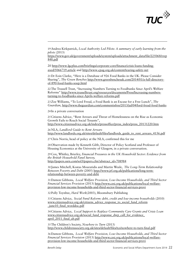

19Andrea Kirkpatrick, *Local Authority Led Pilots: A summary of early learning from the pilots* (2013)

<u> 1989 - Johann Barn, amerikansk politiker (d. 1989)</u>

https://www.gov.uk/government/uploads/system/uploads/attachment\_data/file/225068/rrep 848.pdf

20 http://www.lgcplus.com/briefings/corporate-core/finance/crisis-loans-fundingaxed/5066719.article and http://www.cpag.org.uk/content/tearing-safety-net

21Dr Eoin Clarke, "Here is a Database of 926 Food Banks in the UK. Please Consider Sharing", *The Green Benches* http://www.greenbenchesuk.com/2014/01/a-full-directoryof-890-food-banks-soup.html

22The Trussell Trust, "Increasing Numbers Turning to Foodbanks Since April's Welfare Reforms" http://www.trusselltrust.org/resources/documents/Press/Increasing-numbersturning-to-foodbanks-since-Aprils-welfare-reforms.pdf

23Zoe Williams, "To Lord Freud, a Food Bank is an Excuse for a Free Lunch", *The Guardian*, http://www.theguardian.com/commentisfree/2013/jul/04/lord-freud-food-banks

24 In a private conversation

25Citizens Advice, "Rent Arrears and Threat of Homelessness on the Rise as Economic Growth Fails to Reach Social Tenants", http://www.citizensadvice.org.uk/index/pressoffice/press\_index/press\_20131220.htm

26NLA, *Landlord Guide to Rent Arrears* http://www.landlords.org.uk/sites/default/files/landlords\_guide\_to\_rent\_arrears\_4156.pdf

27Chris Norris, head of policy at the NLA, confirmed this for me

28Observation made by Kenneth Gibb, Director of Policy Scotland and Professor of Housing Economics at the University of Glasgow, in a private conversation.

29Cox, Whitley, Brierley, *Financial Pressures in the UK Household Sector: Evidence from the British Household Panel Survey,* http://papers.ssrn.com/sol3/papers.cfm?abstract\_id=708984

30 James Mitchell, Kostas Mouratidis and Martin Weale, *The Long-Term Relationship Between Poverty and Debt* (2005) http://www.jrf.org.uk/publications/long-termrelationship-between-poverty-and-debt

31Damon Gibbons, *Local Welfare Provision, Low-Income Households, and Third Sector Financial Services Provision* (2013) http://www.cesi.org.uk/publications/local-welfareprovision-low-income-households-and-third-sector-financial-services-provi

32 Polly Toynbee, *Hard Work*(2003), Bloomsbury Publishing

33Citizens Advice, *Social Fund Reform: debt, credit and low-income households* (2010) www.citizensadvice.org.uk/citizens\_advice\_response\_to\_social\_fund\_reform \_june10\_final\_worddoc.pdf

34Citizens Advice, *Local Support to Replace Community Care Grants and Crisis Loan* www.citizensadvice.org.uk/social\_fund\_response\_dwp\_call\_for\_evidence april 2011 final ab.pdf

35The Children's Society, *Nowhere to Turn* (2013) http://www.childrenssociety.org.uk/sites/default/files/tcs/nowhere-to-turn-final.pdf

36Damon Gibbons, *Local Welfare Provision, Low-Income Households, and Third Sector Financial Services Provision* (2013) http://www.cesi.org.uk/publications/local-welfareprovision-low-income-households-and-third-sector-financial-services-provi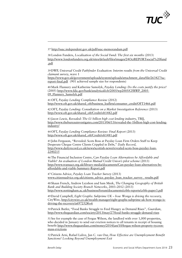

37 http://ssac.independent.gov.uk/pdf/ssac-memorandum.pdf

38 London Funders, *Localisation of the Social Fund: The first six months* (2013) http://www.londonfunders.org.uk/sites/default/files/images/24OctREPORTsocial%20fund .pdf

<u> 1989 - Johann Barn, amerikansk politiker (d. 1989)</u>

39DWP, *Universal Credit Pathfinder Evaluation: Interim results from the Universal Credit claimant survey*, wave 1

https://www.gov.uk/government/uploads/system/uploads/attachment\_data/file/263427/ucreport-final.pdf (901 achieved sample size for respondents)

40Mark Flannery and Katherine Samolyk, *Payday Lending: Do the costs justify the price?*  (2005) http://www.fdic.gov/bank/analytical/cfr/2005/wp2005/CFRWP\_2005- 09 Flannery Samolyk.pdf

41OFT, *Payday Lending Compliance Review* (2012) http://www.oft.gov.uk/shared\_oft/business\_leaflets/consumer\_credit/OFT1466.pdf

42OFT, *Payday Lending: Consultation on a Market Investigation Reference* (2013) http://www.oft.gov.uk/shared\_oft/Credit/oft1482.pdf

43 *Jason Lewis, Revealed: The £1 billion high cost lending industry*, TBIJ, http://www.thebureauinvestigates.com/2013/06/13/revealed-the-1billion-high-cost-lendingindustry/

44OFT, *Payday Lending Compliance Review: Final Report* (2013) http://www.oft.gov.uk/shared\_oft/Credit/oft1481.pdf

45 John Ferguson, "Revealed: Scots Boss at Payday Loan Firm Orders Staff to Keep Desperate Cheque Centre Clients Crippled in Debt," *Daily Record*, http://www.dailyrecord.co.uk/news/scottish-news/revealed-scots-boss-payday-loan-2240215

46The Financial Inclusion Centre, C*an Payday Loan Alternatives be Affordable and Viable? An evaluation of London Mutual Credit Union's pilot scheme* (2013) http://www.transact.org.uk/library-media/documents/Can-payday-loan-alternatives-beaffordable-and-viable-Summary-Report.pdf

47Citizens Advice, *Payday Loan Tracker Survey* (2013) www.citizensadvice.org.uk/citizens\_advice\_payday\_loan\_tracker\_survey\_ results.pdf

48 Shaun French, Andrew Leyshon and Sam Meek, *The Changing Geography of British Bank and Building Society Branch Networks*, 2003–2012 (2013) http://www.nottingham.ac.uk/business/forum/documents/crbfs-reports/crbfs-paper3.pdf

49David Campbell, *Eight Graphs: Subprime UK – how Wonga is driving the recovery,*

CityWire, http://citywire.co.uk/wealth-manager/eight-graphs-subprime-uk-how-wonga-isdriving-the-recovery/a697252#i=6

50 Patrick Butler, "Food Banks Struggle to Feed Hungry as Demand Rises"*, Guardian*, http://www.theguardian.com/society/2013/may/27/food-banks-struggle-demand-rises

51 See for example the case of Fergus Wilson, the landlord with over 1,000 properties, who decided in January to send out eviction notices to all tenants in receipt of housing benefit http://www.theguardian.com/money/2014/jan/10/fergus-wilson-property-tycoonmass-evictions

52 Patrick Arni, Rafael Lalive, Jan C. van Our, *How Effective are Unemployment Benefit Sanctions? Looking Beyond Unemployment Exit*